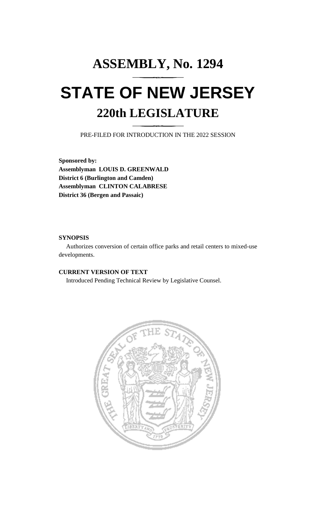# **ASSEMBLY, No. 1294 STATE OF NEW JERSEY 220th LEGISLATURE**

PRE-FILED FOR INTRODUCTION IN THE 2022 SESSION

**Sponsored by: Assemblyman LOUIS D. GREENWALD District 6 (Burlington and Camden) Assemblyman CLINTON CALABRESE District 36 (Bergen and Passaic)**

## **SYNOPSIS**

Authorizes conversion of certain office parks and retail centers to mixed-use developments.

## **CURRENT VERSION OF TEXT**

Introduced Pending Technical Review by Legislative Counsel.

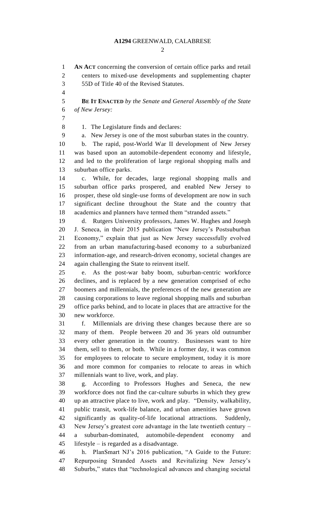### **A1294** GREENWALD, CALABRESE

 $\mathcal{D}_{\mathcal{L}}$ 

 **AN ACT** concerning the conversion of certain office parks and retail centers to mixed-use developments and supplementing chapter 55D of Title 40 of the Revised Statutes. **BE IT ENACTED** *by the Senate and General Assembly of the State of New Jersey:* 8 1. The Legislature finds and declares: a. New Jersey is one of the most suburban states in the country. b. The rapid, post-World War II development of New Jersey was based upon an automobile-dependent economy and lifestyle, and led to the proliferation of large regional shopping malls and suburban office parks. c. While, for decades, large regional shopping malls and suburban office parks prospered, and enabled New Jersey to prosper, these old single-use forms of development are now in such significant decline throughout the State and the country that academics and planners have termed them "stranded assets." d. Rutgers University professors, James W. Hughes and Joseph J. Seneca, in their 2015 publication "New Jersey's Postsuburban Economy," explain that just as New Jersey successfully evolved from an urban manufacturing-based economy to a suburbanized information-age, and research-driven economy, societal changes are again challenging the State to reinvent itself. e. As the post-war baby boom, suburban-centric workforce declines, and is replaced by a new generation comprised of echo boomers and millennials, the preferences of the new generation are causing corporations to leave regional shopping malls and suburban office parks behind, and to locate in places that are attractive for the new workforce. f. Millennials are driving these changes because there are so many of them. People between 20 and 36 years old outnumber every other generation in the country. Businesses want to hire them, sell to them, or both. While in a former day, it was common for employees to relocate to secure employment, today it is more and more common for companies to relocate to areas in which millennials want to live, work, and play. g. According to Professors Hughes and Seneca, the new workforce does not find the car-culture suburbs in which they grew up an attractive place to live, work and play. "Density, walkability, public transit, work-life balance, and urban amenities have grown significantly as quality-of-life locational attractions. Suddenly, New Jersey's greatest core advantage in the late twentieth century – a suburban-dominated, automobile-dependent economy and lifestyle – is regarded as a disadvantage. h. PlanSmart NJ's 2016 publication, "A Guide to the Future: Repurposing Stranded Assets and Revitalizing New Jersey's Suburbs," states that "technological advances and changing societal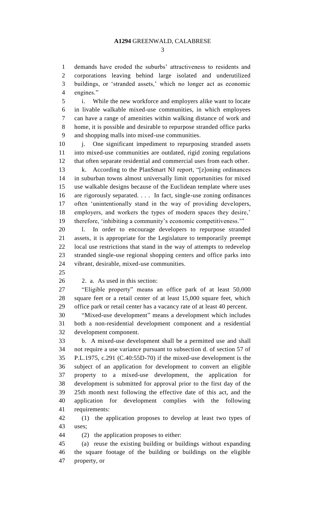demands have eroded the suburbs' attractiveness to residents and corporations leaving behind large isolated and underutilized buildings, or 'stranded assets,' which no longer act as economic engines."

 i. While the new workforce and employers alike want to locate in livable walkable mixed-use communities, in which employees can have a range of amenities within walking distance of work and home, it is possible and desirable to repurpose stranded office parks and shopping malls into mixed-use communities.

10 j. One significant impediment to repurposing stranded assets into mixed-use communities are outdated, rigid zoning regulations that often separate residential and commercial uses from each other. k. According to the PlanSmart NJ report, "[z]oning ordinances in suburban towns almost universally limit opportunities for mixed use walkable designs because of the Euclidean template where uses are rigorously separated. . . . In fact, single-use zoning ordinances often 'unintentionally stand in the way of providing developers, employers, and workers the types of modern spaces they desire,' therefore, 'inhibiting a community's economic competitiveness.'"

 l. In order to encourage developers to repurpose stranded assets, it is appropriate for the Legislature to temporarily preempt local use restrictions that stand in the way of attempts to redevelop stranded single-use regional shopping centers and office parks into vibrant, desirable, mixed-use communities.

2. a. As used in this section:

 "Eligible property" means an office park of at least 50,000 square feet or a retail center of at least 15,000 square feet, which office park or retail center has a vacancy rate of at least 40 percent.

 "Mixed-use development" means a development which includes both a non-residential development component and a residential development component.

 b. A mixed-use development shall be a permitted use and shall not require a use variance pursuant to subsection d. of section 57 of P.L.1975, c.291 (C.40:55D-70) if the mixed-use development is the subject of an application for development to convert an eligible property to a mixed-use development, the application for development is submitted for approval prior to the first day of the 25th month next following the effective date of this act, and the application for development complies with the following requirements:

 (1) the application proposes to develop at least two types of uses;

(2) the application proposes to either:

 (a) reuse the existing building or buildings without expanding the square footage of the building or buildings on the eligible property, or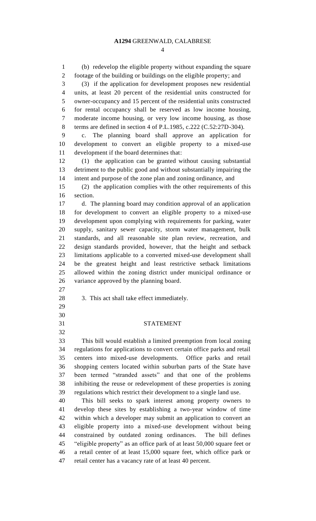(b) redevelop the eligible property without expanding the square footage of the building or buildings on the eligible property; and (3) if the application for development proposes new residential units, at least 20 percent of the residential units constructed for owner-occupancy and 15 percent of the residential units constructed for rental occupancy shall be reserved as low income housing, moderate income housing, or very low income housing, as those terms are defined in section 4 of P.L.1985, c.222 (C.52:27D-304). c. The planning board shall approve an application for development to convert an eligible property to a mixed-use development if the board determines that: (1) the application can be granted without causing substantial detriment to the public good and without substantially impairing the intent and purpose of the zone plan and zoning ordinance, and (2) the application complies with the other requirements of this section. d. The planning board may condition approval of an application for development to convert an eligible property to a mixed-use development upon complying with requirements for parking, water supply, sanitary sewer capacity, storm water management, bulk standards, and all reasonable site plan review, recreation, and design standards provided, however, that the height and setback limitations applicable to a converted mixed-use development shall be the greatest height and least restrictive setback limitations allowed within the zoning district under municipal ordinance or variance approved by the planning board. 3. This act shall take effect immediately. STATEMENT This bill would establish a limited preemption from local zoning regulations for applications to convert certain office parks and retail centers into mixed-use developments. Office parks and retail shopping centers located within suburban parts of the State have been termed "stranded assets" and that one of the problems inhibiting the reuse or redevelopment of these properties is zoning regulations which restrict their development to a single land use. This bill seeks to spark interest among property owners to develop these sites by establishing a two-year window of time within which a developer may submit an application to convert an eligible property into a mixed-use development without being constrained by outdated zoning ordinances. The bill defines "eligible property" as an office park of at least 50,000 square feet or a retail center of at least 15,000 square feet, which office park or retail center has a vacancy rate of at least 40 percent.